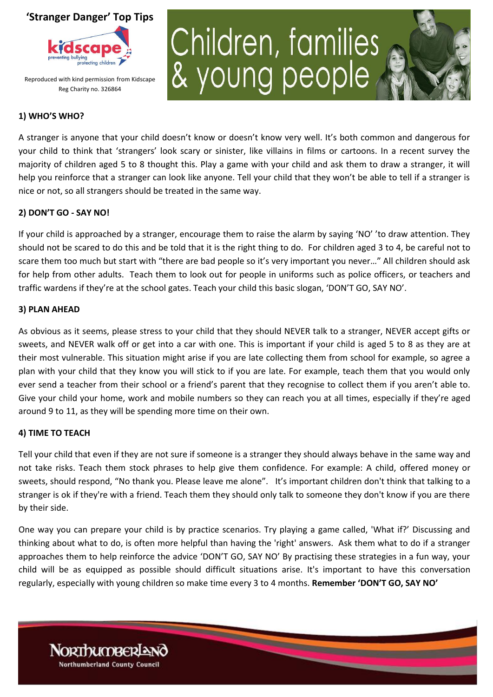

Reproduced with kind permission from Kidscape Reg Charity no. 326864

# Children, families<br>& young people



## **1) WHO'S WHO?**

A stranger is anyone that your child doesn't know or doesn't know very well. It's both common and dangerous for your child to think that 'strangers' look scary or sinister, like villains in films or cartoons. In a recent survey the majority of children aged 5 to 8 thought this. Play a game with your child and ask them to draw a stranger, it will help you reinforce that a stranger can look like anyone. Tell your child that they won't be able to tell if a stranger is nice or not, so all strangers should be treated in the same way.

### **2) DON'T GO - SAY NO!**

If your child is approached by a stranger, encourage them to raise the alarm by saying 'NO' 'to draw attention. They should not be scared to do this and be told that it is the right thing to do. For children aged 3 to 4, be careful not to scare them too much but start with "there are bad people so it's very important you never…" All children should ask for help from other adults. Teach them to look out for people in uniforms such as police officers, or teachers and traffic wardens if they're at the school gates. Teach your child this basic slogan, 'DON'T GO, SAY NO'.

### **3) PLAN AHEAD**

As obvious as it seems, please stress to your child that they should NEVER talk to a stranger, NEVER accept gifts or sweets, and NEVER walk off or get into a car with one. This is important if your child is aged 5 to 8 as they are at their most vulnerable. This situation might arise if you are late collecting them from school for example, so agree a plan with your child that they know you will stick to if you are late. For example, teach them that you would only ever send a teacher from their school or a friend's parent that they recognise to collect them if you aren't able to. Give your child your home, work and mobile numbers so they can reach you at all times, especially if they're aged around 9 to 11, as they will be spending more time on their own.

### **4) TIME TO TEACH**

**Northumberland County Council** 

Tell your child that even if they are not sure if someone is a stranger they should always behave in the same way and not take risks. Teach them stock phrases to help give them confidence. For example: A child, offered money or sweets, should respond, "No thank you. Please leave me alone". It's important children don't think that talking to a stranger is ok if they're with a friend. Teach them they should only talk to someone they don't know if you are there by their side.

One way you can prepare your child is by practice scenarios. Try playing a game called, 'What if?' Discussing and thinking about what to do, is often more helpful than having the 'right' answers. Ask them what to do if a stranger approaches them to help reinforce the advice 'DON'T GO, SAY NO' By practising these strategies in a fun way, your child will be as equipped as possible should difficult situations arise. It's important to have this conversation regularly, especially with young children so make time every 3 to 4 months. **Remember 'DON'T GO, SAY NO'**

<u> The Company of the Company of the Company of the Company of the Company of the Company of the Company of the Company of the Company of the Company of the Company of the Company of the Company of the Company of the Compan</u>